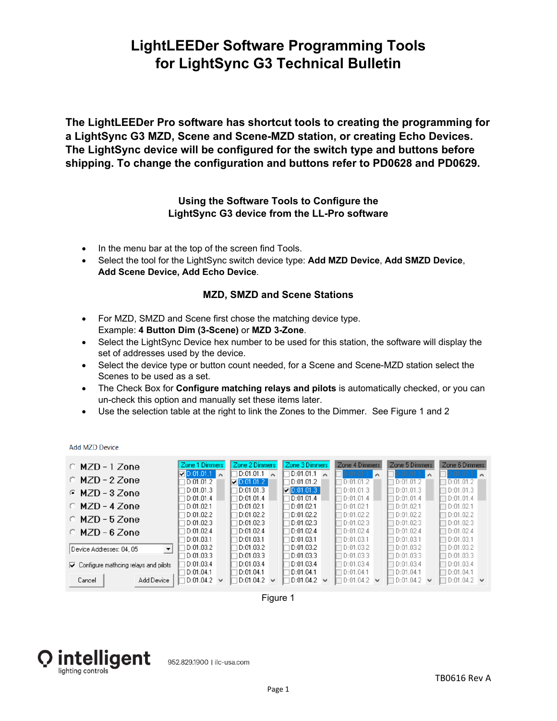# **LightLEEDer Software Programming Tools for LightSync G3 Technical Bulletin**

**The LightLEEDer Pro software has shortcut tools to creating the programming for a LightSync G3 MZD, Scene and Scene-MZD station, or creating Echo Devices. The LightSync device will be configured for the switch type and buttons before shipping. To change the configuration and buttons refer to PD0628 and PD0629.** 

### **Using the Software Tools to Configure the LightSync G3 device from the LL-Pro software**

- In the menu bar at the top of the screen find Tools.
- Select the tool for the LightSync switch device type: **Add MZD Device**, **Add SMZD Device**, **Add Scene Device, Add Echo Device**.

#### **MZD, SMZD and Scene Stations**

- For MZD, SMZD and Scene first chose the matching device type. Example: **4 Button Dim (3-Scene)** or **MZD 3-Zone**.
- Select the LightSync Device hex number to be used for this station, the software will display the set of addresses used by the device.
- Select the device type or button count needed, for a Scene and Scene-MZD station select the Scenes to be used as a set.
- The Check Box for **Configure matching relays and pilots** is automatically checked, or you can un-check this option and manually set these items later.
- Use the selection table at the right to link the Zones to the Dimmer. See Figure 1 and 2

**Add MZD Device** 

| $O$ MZD - 1 Zone                                                | Zone 1 Dimmers         | Zone 2 Dimmers                         | Zone 3 Dimmers         | Zone 4 Dimmers                         | Zone 5 Dimmers                         | Zone 6 Dimmers                  |
|-----------------------------------------------------------------|------------------------|----------------------------------------|------------------------|----------------------------------------|----------------------------------------|---------------------------------|
| $\circ$ MZD - 2 Zone                                            | $\nabla$ D:01.01.1     | D:01.01.1                              | D:01.01.1              | $\hat{\phantom{a}}$                    | $\hat{\phantom{a}}$                    | $\sim$                          |
|                                                                 | D:01.01.2              | $\nabla 0:01.01.2$                     | D:01.01.2              | D:01.01.2                              | D:01.01.2                              | D:01.01.2                       |
| $C$ MZD - 3 Zone                                                | D:01.01.3              | D:01.01.3                              | $\nabla 0:01.01.3\n$   | D:01.01.3                              | D:01.01.3                              | D:01.01.3                       |
|                                                                 | D:01.01.4              | D:01.01.4                              | D:01.01.4              | D:01.01.4                              | D:01.01.4                              | D:01.01.4                       |
| $O$ MZD - 4 Zone                                                | D:01.02.1              | D:01.02.1                              | D:01.02.1              | ID:01.02.1                             | D:01.02.1                              | D:01.02.1                       |
| $O$ MZD - 5 Zone                                                | D:01.02.2              | D:01.02.2                              | D:01.02.2              | D:01.02.2                              | D:01.02.2                              | D:01.02.2                       |
|                                                                 | D:01.02.3              | D:01.02.3                              | D:01.02.3              | D:01.02.3                              | D:01.02.3                              | D:01.02.3                       |
| $O$ MZD - 6 Zone                                                | D:01.02.4              | D:01.02.4                              | D:01.02.4              | D:01.02.4                              | D:01.02.4                              | D:01.02.4                       |
| Device Addresses: 04, 05                                        | D:01.03.1              | D:01.03.1                              | D:01.03.1              | D:01.03.1                              | D:01.03.1                              | D:01.03.1                       |
| $\cdot$                                                         | D:01.03.2              | D:01.03.2                              | D:01.03.2              | D:01.03.2                              | D:01.03.2                              | D:01.03.2                       |
| $\overline{\triangledown}$ Configure mathcing relays and pilots | D:01.03.3              | D:01.03.3                              | D:01.03.3              | D:01.03.3                              | D:01.03.3                              | D:01.03.3                       |
|                                                                 | D:01.03.4              | D:01.03.4                              | D:01.03.4              | D:01.03.4                              | I D:01.03.4                            | D:01.03.4                       |
| Add Device<br>Cancel                                            | D:01.04.1<br>D:01.04.2 | D:01.04.1<br>D:01.04.2<br>$\checkmark$ | D:01.04.1<br>D:01.04.2 | D:01.04.1<br>D:01.04.2<br>$\checkmark$ | D:01.04.1<br>D:01.04.2<br>$\checkmark$ | D:01.04.1<br>$D:01.04.2$ $\vee$ |

Figure 1

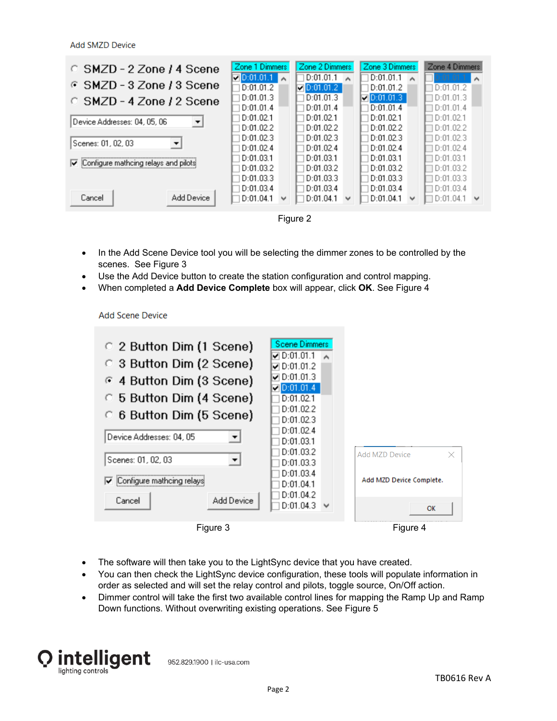**Add SMZD Device** 

| C SMZD - 2 Zone / 4 Scene                            | Zone 1 Dimmers                                      | Zone 2 Dimmers                           | Zone 3 Dimmers                           | Zone 4 Dimmers                                      |
|------------------------------------------------------|-----------------------------------------------------|------------------------------------------|------------------------------------------|-----------------------------------------------------|
| © SMZD-3 Zone / 3 Scene                              | $\nabla 0:01.01.1\n$<br>D:01.01.2                   | D:01.01.1<br>$\n  ① 0:01.01.2\n$         | D:01.01.1<br>D:01.01.2                   | D:01.01.2                                           |
| C SMZD - 4 Zone / 2 Scene                            | D:01.01.3<br>D:01.01.4                              | D:01.01.3<br>D:01.01.4                   | $\n  001.01.3\n$<br>D:01.01.4            | D:01.01.3<br>D:01.01.4                              |
| Device Addresses: 04, 05, 06<br>$\blacktriangledown$ | D:01.02.1<br>D:01.02.2                              | D:01.02.1<br>D:01.02.2                   | D:01.02.1<br>D:01.02.2                   | D:01.02.1<br>D:01.02.2                              |
| Scenes: 01, 02, 03                                   | D:01.02.3<br>D:01.02.4                              | D:01.02.3<br>D:01.02.4                   | D:01.02.3<br>D:01.02.4                   | D:01.02.3<br>D:01.02.4                              |
| Configure mathcing relays and pilots<br>⊽            | D:01.03.1<br>D:01.03.2                              | D:01.03.1<br>D:01.03.2                   | D:01.03.1<br>D:01.03.2                   | D:01.03.1<br>D:01.03.2                              |
| Cancel<br>Add Device                                 | D:01.03.3<br>D:01.03.4<br>D:01.04.1<br>$\checkmark$ | D:01.03.3<br>D:01.03.4<br>D:01.04.1<br>v | D:01.03.3<br>D:01.03.4<br>D:01.04.1<br>w | D:01.03.3<br>D:01.03.4<br>D:01.04.1<br>$\checkmark$ |
|                                                      |                                                     | Figure 2                                 |                                          |                                                     |

- In the Add Scene Device tool you will be selecting the dimmer zones to be controlled by the scenes. See Figure 3
- Use the Add Device button to create the station configuration and control mapping.
- When completed a **Add Device Complete** box will appear, click **OK**. See Figure 4

#### **Add Scene Device**

| C 2 Button Dim (1 Scene)<br>C 3 Button Dim (2 Scene)<br>⊙ 4 Button Dim (3 Scene)<br>C 5 Button Dim (4 Scene)<br>◯ 6 Button Dim (5 Scene)<br>Device Addresses: 04, 05<br>Scenes: 01, 02, 03<br>▼<br>Configure mathcing relays<br>Add Device<br>Cancel | Scene Dimmers<br><b>⊽</b> D:01.01.1<br>$\nabla D:01.01.2$<br>$\nabla$ D:01.01.3<br>$\n  Q 0:01.01.4\n$<br>D:01.02.1<br>D:01.02.2<br>D:01.02.3<br>D:01.02.4<br>D:01.03.1<br>D:01.03.2<br>D:01.03.3<br>D:01.03.4<br>D:01.04.1<br>D:01.04.2<br>D:01.04.3<br>$\checkmark$ | <b>Add MZD Device</b><br>×<br>Add MZD Device Complete.<br>OK |
|------------------------------------------------------------------------------------------------------------------------------------------------------------------------------------------------------------------------------------------------------|-----------------------------------------------------------------------------------------------------------------------------------------------------------------------------------------------------------------------------------------------------------------------|--------------------------------------------------------------|
| Figure 3                                                                                                                                                                                                                                             |                                                                                                                                                                                                                                                                       | Figure 4                                                     |

- The software will then take you to the LightSync device that you have created.
- You can then check the LightSync device configuration, these tools will populate information in order as selected and will set the relay control and pilots, toggle source, On/Off action.
- Dimmer control will take the first two available control lines for mapping the Ramp Up and Ramp Down functions. Without overwriting existing operations. See Figure 5



952.829.1900 | ilc-usa.com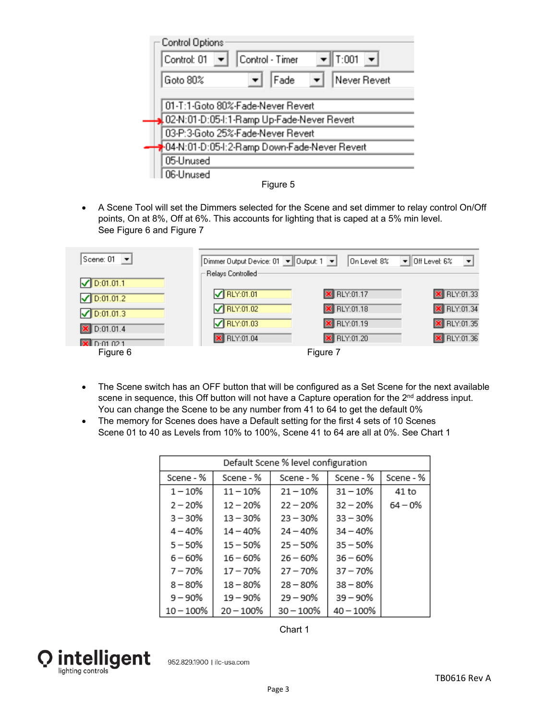| Control Options<br>$\blacktriangledown$ T:001 $\blacktriangledown$<br>Control - Timer<br>Control: 01 |
|------------------------------------------------------------------------------------------------------|
| Never Revert<br>Goto 80%<br>Fade                                                                     |
| 01-T:1-Goto 80%-Fade-Never Revert<br>02-N:01-D:05-I:1-Ramp Up-Fade-Never Revert                      |
| 03-P:3-Goto 25%-Fade-Never Revert                                                                    |
| 04-N:01-D:05-I:2-Ramp Down-Fade-Never Revert<br>05-Unused                                            |
| 06-Unused                                                                                            |



 A Scene Tool will set the Dimmers selected for the Scene and set dimmer to relay control On/Off points, On at 8%, Off at 6%. This accounts for lighting that is caped at a 5% min level. See Figure 6 and Figure 7

| Scene: 01<br>$\overline{\phantom{a}}$ | Dimmer Output Device: 01 ▼ Output: 1 ▼ | On Level: 8%       | $\overline{\phantom{a}}$<br>$\bullet$ Off Level: 6% |
|---------------------------------------|----------------------------------------|--------------------|-----------------------------------------------------|
| $\sqrt{D:01.01.1}$                    | Relays Controlled                      |                    |                                                     |
| $\sqrt{D:01.01.2}$                    | $\sqrt{\left \right $ RLY:01.01        | <b>X</b> RLY:01.17 | <b>X</b> RLY:01.33                                  |
| $\n  D:01.01.3\n$                     | $\sqrt{RLY:01.02}$                     | <b>X</b> RLY:01.18 | <b>X</b> RLY:01.34                                  |
| $X$ D:01.01.4                         | $\sqrt{RLY:01.03}$                     | <b>X</b> RLY:01.19 | <b>X</b> RLY:01.35                                  |
| $\overline{\mathbf{x}}$ D:01 02 1     | <b>X</b> RLY:01.04                     | <b>X</b> RLY:01.20 | <b>X</b> RLY:01.36                                  |
| Figure 6                              |                                        | Figure 7           |                                                     |

- The Scene switch has an OFF button that will be configured as a Set Scene for the next available scene in sequence, this Off button will not have a Capture operation for the  $2<sup>nd</sup>$  address input. You can change the Scene to be any number from 41 to 64 to get the default 0%
- The memory for Scenes does have a Default setting for the first 4 sets of 10 Scenes Scene 01 to 40 as Levels from 10% to 100%, Scene 41 to 64 are all at 0%. See Chart 1

| Default Scene % level configuration |              |              |             |            |
|-------------------------------------|--------------|--------------|-------------|------------|
| Scene - %                           | Scene - %    | Scene - %    | Scene - %   | Scene - %  |
| $1 - 10%$                           | $11 - 10%$   | $21 - 10%$   | $31 - 10%$  | 41 to      |
| $2 - 20%$                           | $12 - 20%$   | $22 - 20%$   | $32 - 20%$  | $64 - 0\%$ |
| $3 - 30%$                           | $13 - 30%$   | $23 - 30%$   | $33 - 30%$  |            |
| $4 - 40%$                           | $14 - 40%$   | $24 - 40%$   | $34 - 40%$  |            |
| $5 - 50%$                           | $15 - 50%$   | $25 - 50%$   | $35 - 50%$  |            |
| $6 - 60%$                           | $16 - 60%$   | $26 - 60%$   | $36 - 60%$  |            |
| $7 - 70%$                           | $17 - 70%$   | $27 - 70%$   | $37 - 70%$  |            |
| $8 - 80%$                           | $18 - 80%$   | $28 - 80%$   | $38 - 80%$  |            |
| $9 - 90%$                           | $19 - 90%$   | $29 - 90%$   | $39 - 90\%$ |            |
| $10 - 100\%$                        | $20 - 100\%$ | $30 - 100\%$ | $40 - 100%$ |            |

Chart 1



952.829.1900 | ilc-usa.com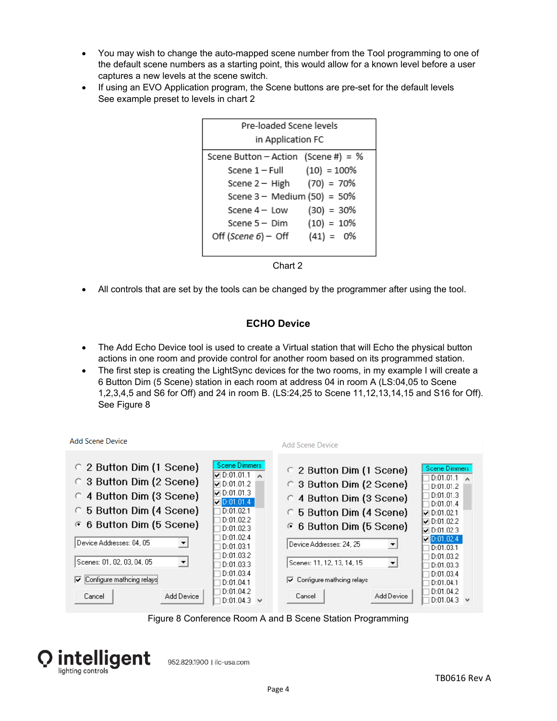- You may wish to change the auto-mapped scene number from the Tool programming to one of the default scene numbers as a starting point, this would allow for a known level before a user captures a new levels at the scene switch.
- If using an EVO Application program, the Scene buttons are pre-set for the default levels See example preset to levels in chart 2



Chart 2

All controls that are set by the tools can be changed by the programmer after using the tool.

## **ECHO Device**

- The Add Echo Device tool is used to create a Virtual station that will Echo the physical button actions in one room and provide control for another room based on its programmed station.
- The first step is creating the LightSync devices for the two rooms, in my example I will create a 6 Button Dim (5 Scene) station in each room at address 04 in room A (LS:04,05 to Scene 1,2,3,4,5 and S6 for Off) and 24 in room B. (LS:24,25 to Scene 11,12,13,14,15 and S16 for Off). See Figure 8

| Add Scene Device                                                                                                                                                                                                                                   |                                                                                                                                                                                                                | Add Scene Device                                                                                                                                                                                                             |                                                                                                                                                                                                                  |
|----------------------------------------------------------------------------------------------------------------------------------------------------------------------------------------------------------------------------------------------------|----------------------------------------------------------------------------------------------------------------------------------------------------------------------------------------------------------------|------------------------------------------------------------------------------------------------------------------------------------------------------------------------------------------------------------------------------|------------------------------------------------------------------------------------------------------------------------------------------------------------------------------------------------------------------|
| 2 Button Dim (1 Scene)<br>C 3 Button Dim (2 Scene)<br>4 Button Dim (3 Scene)<br>C 5 Button Dim (4 Scene)<br>⊙ 6 Button Dim (5 Scene)<br>Device Addresses: 04, 05<br>$\overline{\phantom{a}}$<br>Scenes: 01, 02, 03, 04, 05<br>$\blacktriangledown$ | Scene Dimmers<br>$\nabla 0:01.01.1$<br>$\nabla 0:01.01.2$<br>$\nabla$ D:01.01.3<br>$\n  7 0:01.01.4\n$<br>D:01.02.1<br>D:01.02.2<br>D:01.02.3<br>D:01.02.4<br>D:01.03.1<br>D:01.03.2<br>D:01.03.3<br>D:01.03.4 | C 2 Button Dim (1 Scene)<br>C 3 Button Dim (2 Scene)<br>4 Button Dim (3 Scene)<br>5 Button Dim (4 Scene)<br>C.<br>6 6 Button Dim (5 Scene)<br>Device Addresses: 24, 25<br>Scenes: 11, 12, 13, 14, 15<br>$\blacktriangledown$ | <b>Scene Dimmers</b><br>$D:01.01.1 \rightarrow$<br>D:01.01.2<br>D:01.01.3<br>D:01.01.4<br>$\nu$ D:01.02.1<br>$\nu$ D:01.02.2<br>$\nu$ D:01.02.3<br>D:01.02.4<br>D:01.03.1<br>D:01.03.2<br>D:01.03.3<br>D:01.03.4 |
| Configure mathcing relays<br>⊽<br>Add Device<br>Cancel                                                                                                                                                                                             | D:01.04.1<br>D:01.04.2<br>D:01.04.3<br>$\checkmark$                                                                                                                                                            | $\overline{\smile}$ Configure mathcing relays<br>Add Device<br>Cancel                                                                                                                                                        | D:01.04.1<br>D:01.04.2<br>D:01.04.3<br>$\checkmark$                                                                                                                                                              |

Figure 8 Conference Room A and B Scene Station Programming



952.829.1900 | ilc-usa.com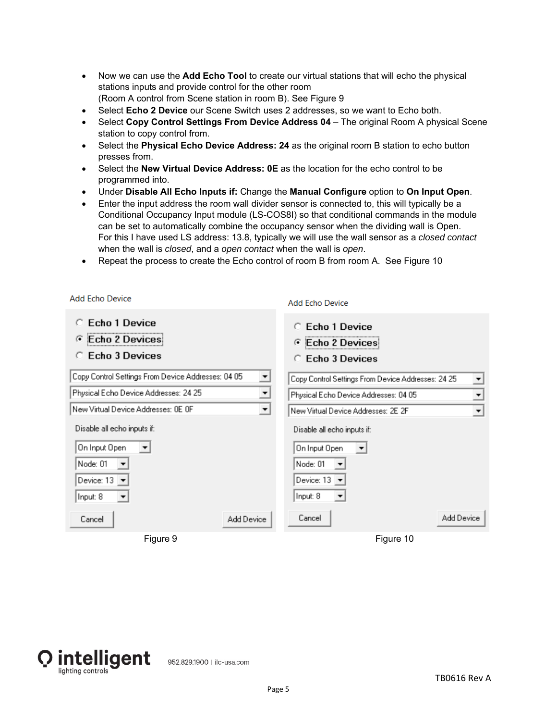- Now we can use the **Add Echo Tool** to create our virtual stations that will echo the physical stations inputs and provide control for the other room (Room A control from Scene station in room B). See Figure 9
- Select **Echo 2 Device** our Scene Switch uses 2 addresses, so we want to Echo both.
- Select **Copy Control Settings From Device Address 04** The original Room A physical Scene station to copy control from.
- Select the **Physical Echo Device Address: 24** as the original room B station to echo button presses from.
- Select the **New Virtual Device Address: 0E** as the location for the echo control to be programmed into.
- Under **Disable All Echo Inputs if:** Change the **Manual Configure** option to **On Input Open**.
- Enter the input address the room wall divider sensor is connected to, this will typically be a Conditional Occupancy Input module (LS-COS8I) so that conditional commands in the module can be set to automatically combine the occupancy sensor when the dividing wall is Open. For this I have used LS address: 13.8, typically we will use the wall sensor as a *closed contact* when the wall is *closed*, and a *open contact* when the wall is *open*.
- Repeat the process to create the Echo control of room B from room A. See Figure 10

|                                                                                    | Add Echo Device                                                   |
|------------------------------------------------------------------------------------|-------------------------------------------------------------------|
| <b>Echo 1 Device</b><br>Echo 2 Devices<br>$\epsilon$<br><b>Echo 3 Devices</b><br>o | Echo 1 Device<br>Echo 2 Devices<br>$\sqrt{2}$<br>C Echo 3 Devices |
| Copy Control Settings From Device Addresses: 04 05<br>×.                           | Copy Control Settings From Device Addresses: 24 25                |
| Physical Echo Device Addresses: 24 25<br>$\overline{ }$                            | Physical Echo Device Addresses: 04 05<br>$\overline{ }$           |
| New Virtual Device Addresses: 0E OF<br>$\blacktriangledown$                        | $\overline{\mathbf{r}}$<br>New Virtual Device Addresses: 2E 2F    |
| Disable all echo inputs if:                                                        | Disable all echo inputs if:                                       |
| On Input Open<br>▾                                                                 | On Input Open<br>$\vert \cdot \vert$                              |
| Node: 01                                                                           | Node: 01                                                          |
| Device: 13<br>$\blacktriangledown$                                                 | Device: $13 \times$                                               |
| Input: 8<br>▼                                                                      | Input: 8<br>▼                                                     |
| Add Device<br>Cancel                                                               | Add Device<br>Cancel                                              |
| Figure 9                                                                           | Figure 10                                                         |



Add Febo Device